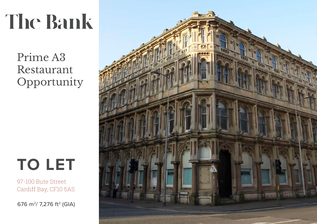# **The Bank**

Prime A3 Restaurant Opportunity



97-100 Bute Street Cardiff Bay, CF10 5AS

676 m<sup>2</sup>/ 7,276 ft<sup>2</sup> (GIA)

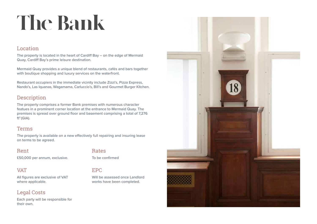## **The Bank**

#### Location

The property is located in the heart of Cardiff Bay – on the edge of Mermaid Quay, Cardiff Bay's prime leisure destination.

Mermaid Quay provides a unique blend of restaurants, cafés and bars together with boutique shopping and luxury services on the waterfront.

Restaurant occupiers in the immediate vicinity include Zizzi's, Pizza Express, Nando's, Las Iquanas, Wagamama, Carluccio's, Bill's and Gourmet Burger Kitchen.

### **Description**

The property comprises a former Bank premises with numerous character featues in a prominent corner location at the entrance to Mermaid Quay. The premises is spread over ground floor and basement comprising a total of 7,276  $ft<sup>2</sup>$  (GIA).

#### Terms

The property is available on a new effectively full repairing and insuring lease on terms to be agreed.

#### Rent

£50,000 per annum, exclusive.

#### **VAT**

All figures are exclusive of VAT where applicable.

#### Legal Costs

Each party will be responsible for their own.

#### Rates

To be confirmed

#### EPC

Will be assessed once Landlord works have been completed.

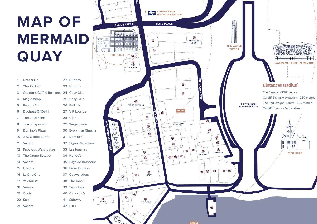### **MAP OF MERMAID QUAY**

| 1               | Nata & Co                            |    | 22 Hubbox      |
|-----------------|--------------------------------------|----|----------------|
| $\overline{2}$  | <b>The Packet</b>                    |    | 23 Hubbox      |
| 3               | Quantum Coffee Roasters 24 Cosy Club |    |                |
| 4               | Magic Wrap                           |    | 25 Cosy Club   |
| 5               | Pop up Spot                          |    | 26 Bellini's   |
| 6               | Duchess Of Delhi                     |    | 27 VIP Lounge  |
| 7               | The Eli Jenkins                      |    | 28 Côte        |
| 8               | <b>Tesco Express</b>                 |    | 29 Wagamama    |
| 9               | Domino's Pizza                       |    | 30 Everyman C  |
|                 | 10 JRC Global Buffet                 | 31 | Demiro's       |
| 11              | Vacant                               |    | 32 Signor Vale |
|                 | 12 Fabulous Welshcakes               |    | 33 Las Iguanas |
| 13 <sup>7</sup> | The Crepe Escape                     |    | 34 Nando's     |
| 14              | Vacant                               |    | 35 Bayside Bra |
|                 | 15 Greggs                            |    | 36 Pizza Expre |
|                 | 16 La Cha Cha                        |    | 37 Cadwalader  |
|                 | 17 Yakitori #1                       |    | 38 The Dock    |
|                 | 18 Veeno                             |    | 39 Sushi Day   |
| 19              | Costa                                |    | 40 Carluccio's |
|                 | 20 Salt                              | 41 | Subway         |
| 21              | Vacant                               | 42 | Bill's         |

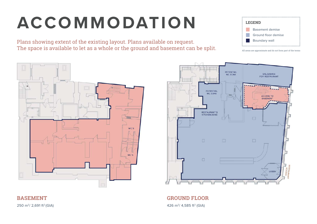### **ACCOMMODATION**

Plans showing extent of the existing layout. Plans available on request. The space is available to let as a whole or the ground and basement can be split. **LEGEND** Basement demise Ground floor demise Boundary wall

All areas are approximate and do not form part of the terms





**GROUND FLOOR** 426 m<sup>2</sup>/ 4,585 ft<sup>2</sup> (GIA)

250 m<sup>2</sup>/ 2,691 ft<sup>2</sup> (GIA)

**BASEMENT**